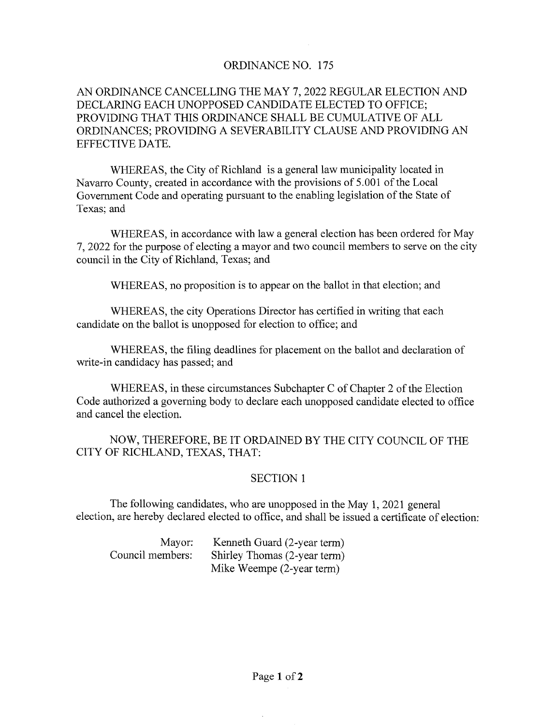## ORDINANCE NO. 175

# AN ORDINANCE CANCELLING THE MAY 7, 2022 REGULAR ELECTION AND DECLARING EACH UNOPPOSED CANDIDATE ELECTED TO OFFICE; PROVIDING THAT THIS ORDINANCE SHALL BE CUMULATIVE OF ALL ORDINANCES; PROVIDING A SEVERABILITY CLAUSE AND PROVIDING AN EFFECTIVE DATE.

WHEREAS, the City of Richland is a general law municipality located in Navarro County, created in accordance with the provisions of 5.001 of the Local Government Code and operating pursuant to the enabling legislation of the State of Texas; and

WHEREAS, in accordance with law a general election has been ordered for May 7, 2022 for the purpose of electing a mayor and two council members to serve on the city council in the City of Richland, Texas; and

WHEREAS, no proposition is to appear on the ballot in that election; and

WHEREAS, the city Operations Director has certified in writing that each candidate on the ballot is unopposed for election to office; and

WHEREAS, the filing deadlines for placement on the ballot and declaration of write-in candidacy has passed; and

WHEREAS, in these circumstances Subchapter C of Chapter 2 of the Election Code authorized a governing body to declare each unopposed candidate elected to office and cancel the election.

NOW, THEREFORE, BE IT ORDAINED BY THE CITY COUNCIL OF THE CITY OF RICHLAND, TEXAS, THAT:

## SECTION 1

The following candidates, who are unopposed in the May 1, 2021 general election, are hereby declared elected to office, and shall be issued a certificate of election:

| Mayor:           | Kenneth Guard (2-year term)  |
|------------------|------------------------------|
| Council members: | Shirley Thomas (2-year term) |
|                  | Mike Weempe (2-year term)    |

 $\mathcal{L}$